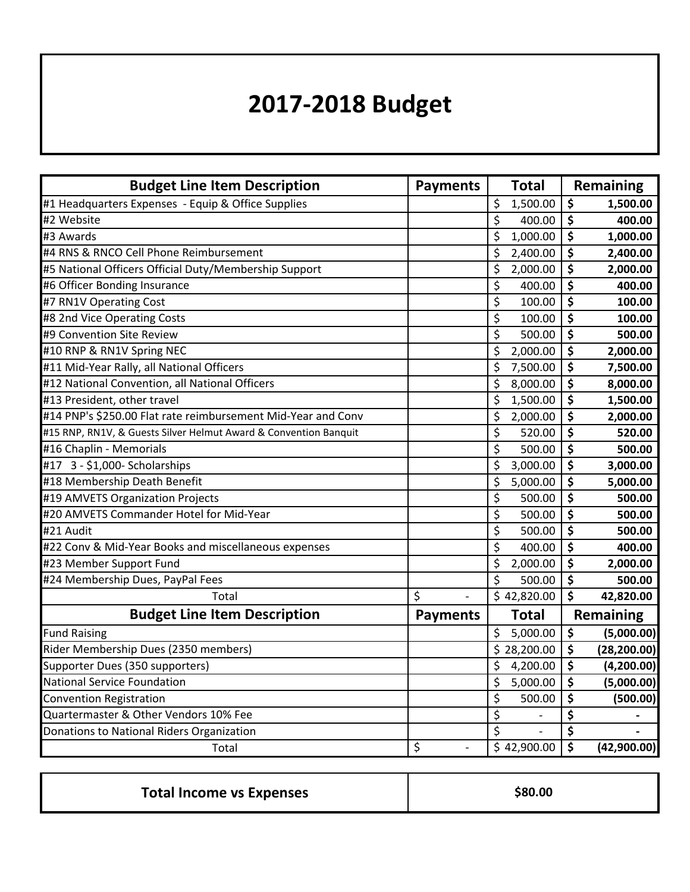## **2017-2018 Budget**

| <b>Budget Line Item Description</b>                              | <b>Payments</b>      | <b>Total</b>         | Remaining                                      |
|------------------------------------------------------------------|----------------------|----------------------|------------------------------------------------|
| #1 Headquarters Expenses - Equip & Office Supplies               |                      | \$<br>1,500.00       | \$<br>1,500.00                                 |
| #2 Website                                                       |                      | \$<br>400.00         | \$<br>400.00                                   |
| #3 Awards                                                        |                      | \$<br>1,000.00       | \$<br>1,000.00                                 |
| #4 RNS & RNCO Cell Phone Reimbursement                           |                      | \$<br>2,400.00       | \$<br>2,400.00                                 |
| #5 National Officers Official Duty/Membership Support            |                      | \$<br>2,000.00       | \$<br>2,000.00                                 |
| #6 Officer Bonding Insurance                                     |                      | \$<br>400.00         | $\overline{\boldsymbol{\zeta}}$<br>400.00      |
| #7 RN1V Operating Cost                                           |                      | \$<br>100.00         | $\overline{\boldsymbol{\zeta}}$<br>100.00      |
| #8 2nd Vice Operating Costs                                      |                      | \$<br>100.00         | $\overline{\boldsymbol{\zeta}}$<br>100.00      |
| #9 Convention Site Review                                        |                      | \$<br>500.00         | $\overline{\boldsymbol{\xi}}$<br>500.00        |
| #10 RNP & RN1V Spring NEC                                        |                      | \$<br>2,000.00       | \$<br>2,000.00                                 |
| #11 Mid-Year Rally, all National Officers                        |                      | \$<br>7,500.00       | $\overline{\boldsymbol{\zeta}}$<br>7,500.00    |
| #12 National Convention, all National Officers                   |                      | \$<br>8,000.00       | $\overline{\boldsymbol{\zeta}}$<br>8,000.00    |
| #13 President, other travel                                      |                      | \$<br>1,500.00       | $\overline{\boldsymbol{\zeta}}$<br>1,500.00    |
| #14 PNP's \$250.00 Flat rate reimbursement Mid-Year and Conv     |                      | \$<br>2,000.00       | $\overline{\boldsymbol{\zeta}}$<br>2,000.00    |
| #15 RNP, RN1V, & Guests Silver Helmut Award & Convention Banquit |                      | \$<br>520.00         | \$<br>520.00                                   |
| #16 Chaplin - Memorials                                          |                      | \$<br>500.00         | \$<br>500.00                                   |
| #17 3 - \$1,000- Scholarships                                    |                      | \$<br>3,000.00       | $\overline{\boldsymbol{\zeta}}$<br>3,000.00    |
| #18 Membership Death Benefit                                     |                      | \$<br>5,000.00       | \$<br>5,000.00                                 |
| #19 AMVETS Organization Projects                                 |                      | \$<br>500.00         | $\overline{\boldsymbol{\zeta}}$<br>500.00      |
| #20 AMVETS Commander Hotel for Mid-Year                          |                      | \$<br>500.00         | $\overline{\boldsymbol{\zeta}}$<br>500.00      |
| #21 Audit                                                        |                      | \$<br>500.00         | \$<br>500.00                                   |
| #22 Conv & Mid-Year Books and miscellaneous expenses             |                      | \$<br>400.00         | $\overline{\boldsymbol{\zeta}}$<br>400.00      |
| #23 Member Support Fund                                          |                      | \$<br>2,000.00       | \$<br>2,000.00                                 |
| #24 Membership Dues, PayPal Fees                                 |                      | \$<br>500.00         | $\overline{\boldsymbol{\zeta}}$<br>500.00      |
| Total                                                            | \$                   | \$42,820.00          | $\overline{\boldsymbol{\zeta}}$<br>42,820.00   |
| <b>Budget Line Item Description</b>                              | <b>Payments</b>      | <b>Total</b>         | Remaining                                      |
| <b>Fund Raising</b>                                              |                      | \$<br>5,000.00       | $\overline{\boldsymbol{\zeta}}$<br>(5,000.00)  |
| Rider Membership Dues (2350 members)                             |                      | \$28,200.00          | \$<br>(28, 200.00)                             |
| Supporter Dues (350 supporters)                                  |                      | \$<br>4,200.00       | \$<br>(4,200.00)                               |
| <b>National Service Foundation</b>                               |                      | \$<br>5,000.00       | $\overline{\boldsymbol{\zeta}}$<br>(5,000.00)  |
| <b>Convention Registration</b>                                   |                      | \$<br>500.00         | \$<br>(500.00)                                 |
| Quartermaster & Other Vendors 10% Fee                            |                      | \$<br>$\overline{a}$ | $\overline{\boldsymbol{\zeta}}$                |
| Donations to National Riders Organization                        |                      | \$<br>$\overline{a}$ | $\overline{\boldsymbol{\zeta}}$                |
| Total                                                            | \$<br>$\overline{a}$ | \$42,900.00          | $\overline{\boldsymbol{\zeta}}$<br>(42,900.00) |

| \$80.00 |
|---------|
|         |